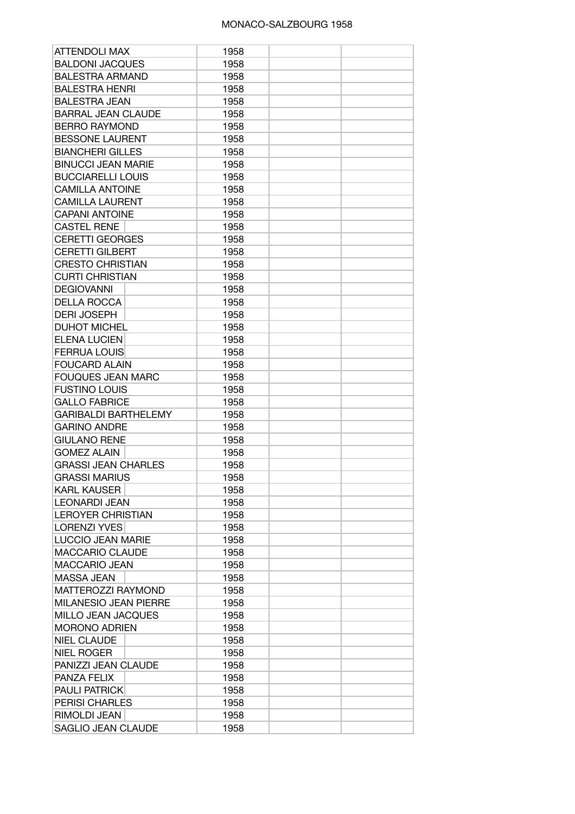## MONACO-SALZBOURG 1958

| <b>ATTENDOLI MAX</b>         | 1958 |  |
|------------------------------|------|--|
| <b>BALDONI JACQUES</b>       | 1958 |  |
| <b>BALESTRA ARMAND</b>       | 1958 |  |
| <b>BALESTRA HENRI</b>        | 1958 |  |
| <b>BALESTRA JEAN</b>         | 1958 |  |
| <b>BARRAL JEAN CLAUDE</b>    | 1958 |  |
| <b>BERRO RAYMOND</b>         | 1958 |  |
| <b>BESSONE LAURENT</b>       | 1958 |  |
| <b>BIANCHERI GILLES</b>      | 1958 |  |
| <b>BINUCCI JEAN MARIE</b>    | 1958 |  |
| <b>BUCCIARELLI LOUIS</b>     | 1958 |  |
| <b>CAMILLA ANTOINE</b>       | 1958 |  |
| <b>CAMILLA LAURENT</b>       | 1958 |  |
| <b>CAPANI ANTOINE</b>        | 1958 |  |
| <b>CASTEL RENE</b>           | 1958 |  |
| <b>CERETTI GEORGES</b>       | 1958 |  |
| <b>CERETTI GILBERT</b>       | 1958 |  |
| <b>CRESTO CHRISTIAN</b>      | 1958 |  |
| <b>CURTI CHRISTIAN</b>       | 1958 |  |
| <b>DEGIOVANNI</b>            | 1958 |  |
| <b>DELLA ROCCA</b>           | 1958 |  |
| <b>DERI JOSEPH</b>           | 1958 |  |
| <b>DUHOT MICHEL</b>          | 1958 |  |
| <b>ELENA LUCIEN</b>          | 1958 |  |
| <b>FERRUA LOUIS</b>          |      |  |
|                              | 1958 |  |
| <b>FOUCARD ALAIN</b>         | 1958 |  |
| <b>FOUQUES JEAN MARC</b>     | 1958 |  |
| <b>FUSTINO LOUIS</b>         | 1958 |  |
| <b>GALLO FABRICE</b>         | 1958 |  |
| <b>GARIBALDI BARTHELEMY</b>  | 1958 |  |
| <b>GARINO ANDRE</b>          | 1958 |  |
| <b>GIULANO RENE</b>          | 1958 |  |
| <b>GOMEZ ALAIN</b>           | 1958 |  |
| <b>GRASSI JEAN CHARLES</b>   | 1958 |  |
| <b>GRASSI MARIUS</b>         | 1958 |  |
| <b>KARL KAUSER</b>           | 1958 |  |
| <b>LEONARDI JEAN</b>         | 1958 |  |
| <b>LEROYER CHRISTIAN</b>     | 1958 |  |
| <b>LORENZI YVES</b>          | 1958 |  |
| <b>LUCCIO JEAN MARIE</b>     | 1958 |  |
| <b>MACCARIO CLAUDE</b>       | 1958 |  |
| <b>MACCARIO JEAN</b>         | 1958 |  |
| <b>MASSA JEAN</b>            | 1958 |  |
| MATTEROZZI RAYMOND           | 1958 |  |
| <b>MILANESIO JEAN PIERRE</b> | 1958 |  |
| <b>MILLO JEAN JACQUES</b>    | 1958 |  |
| <b>MORONO ADRIEN</b>         | 1958 |  |
| <b>NIEL CLAUDE</b>           | 1958 |  |
| <b>NIEL ROGER</b>            | 1958 |  |
| PANIZZI JEAN CLAUDE          | 1958 |  |
| PANZA FELIX                  | 1958 |  |
| <b>PAULI PATRICK</b>         | 1958 |  |
| <b>PERISI CHARLES</b>        | 1958 |  |
| RIMOLDI JEAN                 | 1958 |  |
| SAGLIO JEAN CLAUDE           | 1958 |  |